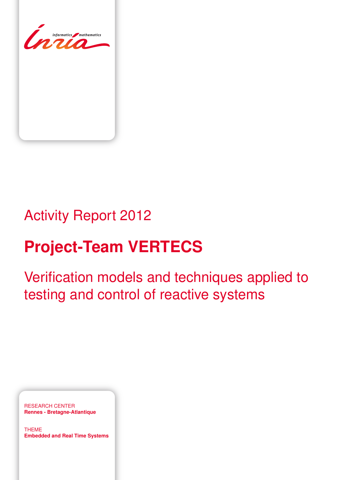

# Activity Report 2012

# **Project-Team VERTECS**

Verification models and techniques applied to testing and control of reactive systems

RESEARCH CENTER **Rennes - Bretagne-Atlantique**

THEME **Embedded and Real Time Systems**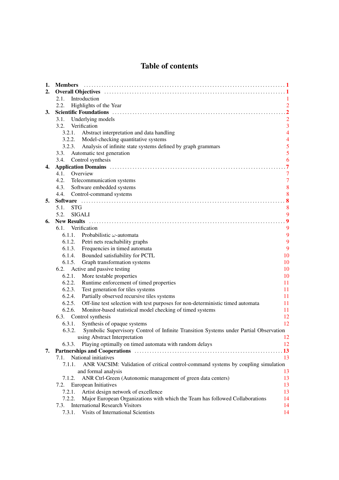# Table of contents

| 1. | <b>Members</b>                                                                                                                                                                                                                 |                  |
|----|--------------------------------------------------------------------------------------------------------------------------------------------------------------------------------------------------------------------------------|------------------|
| 2. |                                                                                                                                                                                                                                |                  |
|    | 2.1.<br>Introduction                                                                                                                                                                                                           |                  |
|    | 2.2.<br>Highlights of the Year                                                                                                                                                                                                 | $\overline{2}$   |
| 3. |                                                                                                                                                                                                                                | $\overline{2}$   |
|    | 3.1.<br>Underlying models                                                                                                                                                                                                      | $\overline{2}$   |
|    | 3.2. Verification                                                                                                                                                                                                              | 3                |
|    | 3.2.1. Abstract interpretation and data handling                                                                                                                                                                               | $\overline{4}$   |
|    | 3.2.2. Model-checking quantitative systems                                                                                                                                                                                     | $\overline{4}$   |
|    | 3.2.3. Analysis of infinite state systems defined by graph grammars                                                                                                                                                            | 5                |
|    | Automatic test generation<br>3.3.                                                                                                                                                                                              | $\overline{5}$   |
|    | Control synthesis<br>3.4.                                                                                                                                                                                                      | 6                |
| 4. |                                                                                                                                                                                                                                |                  |
|    | Overview<br>4.1.                                                                                                                                                                                                               | $\tau$           |
|    | 4.2.<br>Telecommunication systems                                                                                                                                                                                              | $\overline{7}$   |
|    | Software embedded systems<br>4.3.                                                                                                                                                                                              | 8                |
|    | 4.4. Control-command systems                                                                                                                                                                                                   | 8                |
| 5. |                                                                                                                                                                                                                                |                  |
|    | 5.1.<br><b>STG</b>                                                                                                                                                                                                             | 8                |
|    | 5.2.<br><b>SIGALI</b>                                                                                                                                                                                                          | 9                |
| 6. |                                                                                                                                                                                                                                | $\boldsymbol{9}$ |
|    | 6.1. Verification                                                                                                                                                                                                              | 9                |
|    | 6.1.1. Probabilistic $\omega$ -automata                                                                                                                                                                                        | 9                |
|    | 6.1.2. Petri nets reachability graphs                                                                                                                                                                                          | 9                |
|    | 6.1.3. Frequencies in timed automata                                                                                                                                                                                           | 9                |
|    | 6.1.4. Bounded satisfiability for PCTL                                                                                                                                                                                         | 10               |
|    | Graph transformation systems<br>6.1.5.                                                                                                                                                                                         | 10               |
|    | Active and passive testing<br>6.2.                                                                                                                                                                                             | 10               |
|    | 6.2.1.<br>More testable properties                                                                                                                                                                                             | 10               |
|    | 6.2.2. Runtime enforcement of timed properties                                                                                                                                                                                 | 11               |
|    | Test generation for tiles systems<br>6.2.3.                                                                                                                                                                                    | 11               |
|    | Partially observed recursive tiles systems<br>6.2.4.                                                                                                                                                                           | 11               |
|    | 6.2.5.<br>Off-line test selection with test purposes for non-deterministic timed automata                                                                                                                                      | 11               |
|    | 6.2.6.<br>Monitor-based statistical model checking of timed systems                                                                                                                                                            | 11               |
|    | 6.3. Control synthesis                                                                                                                                                                                                         | 12               |
|    | Synthesis of opaque systems<br>6.3.1.                                                                                                                                                                                          | 12               |
|    | Symbolic Supervisory Control of Infinite Transition Systems under Partial Observation<br>6.3.2.                                                                                                                                |                  |
|    | using Abstract Interpretation                                                                                                                                                                                                  | 12               |
|    | Playing optimally on timed automata with random delays<br>6.3.3.                                                                                                                                                               | 12               |
| 7. | Partnerships and Cooperations (1999) (1999) (1999) (1999) (1999) (1999) (1999) (1999) (1999) (1999) (1999) (1999) (1999) (1999) (1999) (1999) (1999) (1999) (1999) (1999) (1999) (1999) (1999) (1999) (1999) (1999) (1999) (19 | .13              |
|    | National initiatives<br>7.1.                                                                                                                                                                                                   | 13               |
|    | 7.1.1.<br>ANR VACSIM: Validation of critical control-command systems by coupling simulation                                                                                                                                    |                  |
|    | and formal analysis                                                                                                                                                                                                            | 13               |
|    | 7.1.2.<br>ANR Ctrl-Green (Autonomic management of green data centers)                                                                                                                                                          | 13               |
|    | 7.2. European Initiatives                                                                                                                                                                                                      | 13               |
|    | 7.2.1.<br>Artist design network of excellence                                                                                                                                                                                  | 13               |
|    | Major European Organizations with which the Team has followed Collaborations<br>7.2.2.                                                                                                                                         | 14               |
|    | <b>International Research Visitors</b><br>7.3.                                                                                                                                                                                 | 14               |
|    | 7.3.1.<br>Visits of International Scientists                                                                                                                                                                                   | 14               |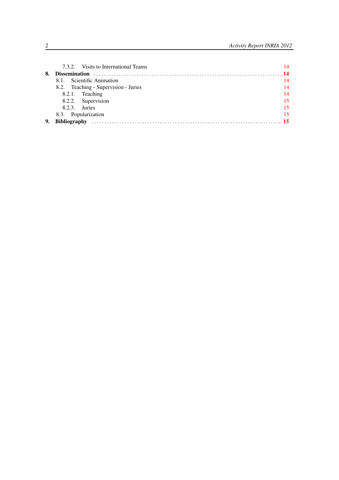|    | 7.3.2. Visits to International Teams | 14 |
|----|--------------------------------------|----|
| 8. | <b>Dissemination</b>                 |    |
|    | Scientific Animation<br>8.1.         | 14 |
|    | 8.2. Teaching - Supervision - Juries | 14 |
|    | 8.2.1. Teaching                      | 14 |
|    | 8.2.2. Supervision                   | 15 |
|    | $8.2.3.$ Juries                      | 15 |
|    | 8.3. Popularization                  | 15 |
| 9. | <b>Bibliography</b>                  |    |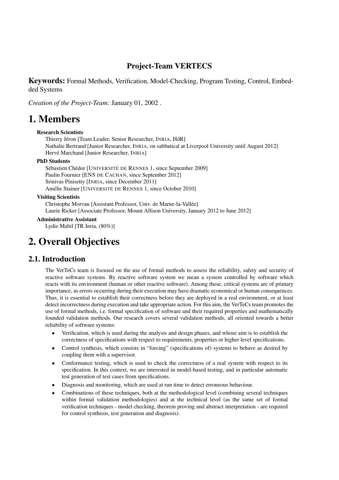# Project-Team VERTECS

Keywords: Formal Methods, Verification, Model-Checking, Program Testing, Control, Embedded Systems

*Creation of the Project-Team:* January 01, 2002 .

# <span id="page-4-0"></span>1. Members

#### Research Scientists

Thierry Jéron [Team Leader, Senior Researcher, INRIA, HdR] Nathalie Bertrand [Junior Researcher, INRIA, on sabbatical at Liverpool University until August 2012] Hervé Marchand [Junior Researcher, INRIA]

#### PhD Students

Sébastien Chédor [UNIVERSITÉ DE RENNES 1, since September 2009] Paulin Fournier [ENS DE CACHAN, since September 2012] Srinivas Pinisetty [INRIA, since December 2011] Amélie Stainer [UNIVERSITÉ DE RENNES 1, since October 2010]

#### Visiting Scientists

Christophe Morvan [Assistant Professor, Univ. de Marne-la-Vallée] Laurie Ricker [Associate Professor, Mount Allison University, January 2012 to June 2012]

Administrative Assistant

<span id="page-4-1"></span>Lydie Mabil [TR Inria, (80%)]

# 2. Overall Objectives

# 2.1. Introduction

<span id="page-4-2"></span>The VerTeCs team is focused on the use of formal methods to assess the reliability, safety and security of reactive software systems. By reactive software system we mean a system controlled by software which reacts with its environment (human or other reactive software). Among these, critical systems are of primary importance, as errors occurring during their execution may have dramatic economical or human consequences. Thus, it is essential to establish their correctness before they are deployed in a real environment, or at least detect incorrectness during execution and take appropriate action. For this aim, the VerTeCs team promotes the use of formal methods, i.e. formal specification of software and their required properties and mathematically founded validation methods. Our research covers several validation methods, all oriented towards a better reliability of software systems:

- Verification, which is used during the analysis and design phases, and whose aim is to establish the correctness of specifications with respect to requirements, properties or higher level specifications.
- Control synthesis, which consists in "forcing" (specifications of) systems to behave as desired by coupling them with a supervisor.
- Conformance testing, which is used to check the correctness of a real system with respect to its specification. In this context, we are interested in model-based testing, and in particular automatic test generation of test cases from specifications.
- Diagnosis and monitoring, which are used at run time to detect erroneous behaviour.
- Combinations of these techniques, both at the methodological level (combining several techniques within formal validation methodologies) and at the technical level (as the same set of formal verification techniques - model checking, theorem proving and abstract interpretation - are required for control synthesis, test generation and diagnosis).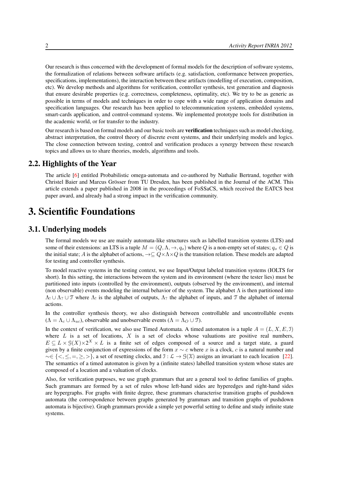Our research is thus concerned with the development of formal models for the description of software systems, the formalization of relations between software artifacts (e.g. satisfaction, conformance between properties, specifications, implementations), the interaction between these artifacts (modelling of execution, composition, etc). We develop methods and algorithms for verification, controller synthesis, test generation and diagnosis that ensure desirable properties (e.g. correctness, completeness, optimality, etc). We try to be as generic as possible in terms of models and techniques in order to cope with a wide range of application domains and specification languages. Our research has been applied to telecommunication systems, embedded systems, smart-cards application, and control-command systems. We implemented prototype tools for distribution in the academic world, or for transfer to the industry.

Our research is based on formal models and our basic tools are **verification** techniques such as model checking, abstract interpretation, the control theory of discrete event systems, and their underlying models and logics. The close connection between testing, control and verification produces a synergy between these research topics and allows us to share theories, models, algorithms and tools.

## 2.2. Highlights of the Year

<span id="page-5-0"></span>The article [\[6\]](#page-19-0) entitled Probabilistic omega-automata and co-authored by Nathalie Bertrand, together with Christel Baier and Marcus Grösser from TU Dresden, has been published in the Journal of the ACM. This article extends a paper published in 2008 in the proceedings of FoSSaCS, which received the EATCS best paper award, and already had a strong impact in the verification community.

# <span id="page-5-1"></span>3. Scientific Foundations

# 3.1. Underlying models

<span id="page-5-2"></span>The formal models we use are mainly automata-like structures such as labelled transition systems (LTS) and some of their extensions: an LTS is a tuple  $M = (Q, \Lambda, \to, q_0)$  where Q is a non-empty set of states;  $q_0 \in Q$  is the initial state; A is the alphabet of actions,  $\rightarrow \subseteq Q \times \Lambda \times Q$  is the transition relation. These models are adapted for testing and controller synthesis.

To model reactive systems in the testing context, we use Input/Output labeled transition systems (IOLTS for short). In this setting, the interactions between the system and its environment (where the tester lies) must be partitioned into inputs (controlled by the environment), outputs (observed by the environment), and internal (non observable) events modeling the internal behavior of the system. The alphabet  $\Lambda$  is then partitioned into  $\Lambda_1 \cup \Lambda_2 \cup \mathcal{T}$  where  $\Lambda_1$  is the alphabet of outputs,  $\Lambda_2$  the alphabet of inputs, and  $\mathcal{T}$  the alphabet of internal actions.

In the controller synthesis theory, we also distinguish between controllable and uncontrollable events  $(\Lambda = \Lambda_c \cup \Lambda_{uc})$ , observable and unobservable events  $(\Lambda = \Lambda_O \cup \mathcal{T})$ .

In the context of verification, we also use Timed Automata. A timed automaton is a tuple  $A = (L, X, E, \mathcal{I})$ where  $L$  is a set of locations,  $X$  is a set of clocks whose valuations are positive real numbers,  $E \subseteq L \times \mathcal{G}(X) \times 2^X \times L$  is a finite set of edges composed of a source and a target state, a guard given by a finite conjunction of expressions of the form  $x \sim c$  where x is a clock, c is a natural number and  $\sim \in \{<,\leq, =,\geq, >\}$ , a set of resetting clocks, and  $\mathcal{I} : \mathcal{L} \to \mathcal{G}(\mathcal{X})$  assigns an invariant to each location [\[22\]](#page-20-0). The semantics of a timed automaton is given by a (infinite states) labelled transition system whose states are composed of a location and a valuation of clocks.

Also, for verification purposes, we use graph grammars that are a general tool to define families of graphs. Such grammars are formed by a set of rules whose left-hand sides are hyperedges and right-hand sides are hypergraphs. For graphs with finite degree, these grammars characterise transition graphs of pushdown automata (the correspondence between graphs generated by grammars and transition graphs of pushdown automata is bijective). Graph grammars provide a simple yet powerful setting to define and study infinite state systems.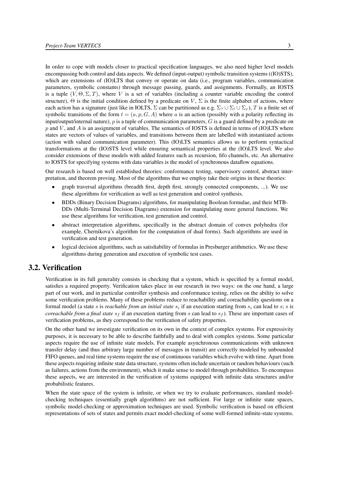In order to cope with models closer to practical specification languages, we also need higher level models encompassing both control and data aspects. We defined (input-output) symbolic transition systems ((IO)STS), which are extensions of (IO)LTS that convey or operate on data (i.e., program variables, communication parameters, symbolic constants) through message passing, guards, and assignments. Formally, an IOSTS is a tuple  $(V, \Theta, \Sigma, T)$ , where V is a set of variables (including a counter variable encoding the control structure),  $\Theta$  is the initial condition defined by a predicate on  $V$ ,  $\Sigma$  is the finite alphabet of actions, where each action has a signature (just like in IOLTS,  $\Sigma$  can be partitioned as e.g.  $\Sigma_? \cup \Sigma_! \cup \Sigma_7$ ), T is a finite set of symbolic transitions of the form  $t = (a, p, G, A)$  where a is an action (possibly with a polarity reflecting its input/output/internal nature),  $p$  is a tuple of communication parameters,  $G$  is a guard defined by a predicate on  $p$  and  $V$ , and  $\overline{A}$  is an assignment of variables. The semantics of IOSTS is defined in terms of (IO)LTS where states are vectors of values of variables, and transitions between them are labelled with instantiated actions (action with valued communication parameter). This (IO)LTS semantics allows us to perform syntactical transformations at the (IO)STS level while ensuring semantical properties at the (IO)LTS level. We also consider extensions of these models with added features such as recursion, fifo channels, etc. An alternative to IOSTS for specifying systems with data variables is the model of synchronous dataflow equations.

Our research is based on well established theories: conformance testing, supervisory control, abstract interpretation, and theorem proving. Most of the algorithms that we employ take their origins in these theories:

- graph traversal algorithms (breadth first, depth first, strongly connected components, ...). We use these algorithms for verification as well as test generation and control synthesis.
- BDDs (Binary Decision Diagrams) algorithms, for manipulating Boolean formulae, and their MTB-DDs (Multi-Terminal Decision Diagrams) extension for manipulating more general functions. We use these algorithms for verification, test generation and control.
- abstract interpretation algorithms, specifically in the abstract domain of convex polyhedra (for example, Chernikova's algorithm for the computation of dual forms). Such algorithms are used in verification and test generation.
- logical decision algorithms, such as satisfiability of formulas in Presburger arithmetics. We use these algorithms during generation and execution of symbolic test cases.

## 3.2. Verification

<span id="page-6-0"></span>Verification in its full generality consists in checking that a system, which is specified by a formal model, satisfies a required property. Verification takes place in our research in two ways: on the one hand, a large part of our work, and in particular controller synthesis and conformance testing, relies on the ability to solve some verification problems. Many of these problems reduce to reachability and coreachability questions on a formal model (a state s is *reachable from an initial state*  $s_i$  if an execution starting from  $s_i$  can lead to  $s$ ; s is *coreachable from a final state*  $s_f$  if an execution starting from s can lead to  $s_f$ ). These are important cases of verification problems, as they correspond to the verification of safety properties.

On the other hand we investigate verification on its own in the context of complex systems. For expressivity purposes, it is necessary to be able to describe faithfully and to deal with complex systems. Some particular aspects require the use of infinite state models. For example asynchronous communications with unknown transfer delay (and thus arbitrary large number of messages in transit) are correctly modeled by unbounded FIFO queues, and real time systems require the use of continuous variables which evolve with time. Apart from these aspects requiring infinite state data structure, systems often include uncertain or random behaviours (such as failures, actions from the environment), which it make sense to model through probabilities. To encompass these aspects, we are interested in the verification of systems equipped with infinite data structures and/or probabilistic features.

When the state space of the system is infinite, or when we try to evaluate performances, standard modelchecking techniques (essentially graph algorithms) are not sufficient. For large or infinite state spaces, symbolic model-checking or approximation techniques are used. Symbolic verification is based on efficient representations of sets of states and permits exact model-checking of some well-formed infinite-state systems.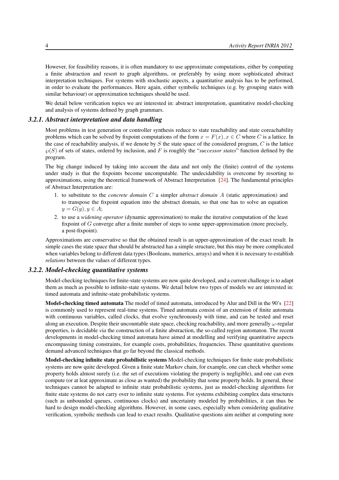However, for feasibility reasons, it is often mandatory to use approximate computations, either by computing a finite abstraction and resort to graph algorithms, or preferably by using more sophisticated abstract interpretation techniques. For systems with stochastic aspects, a quantitative analysis has to be performed, in order to evaluate the performances. Here again, either symbolic techniques (e.g. by grouping states with similar behaviour) or approximation techniques should be used.

We detail below verification topics we are interested in: abstract interpretation, quantitative model-checking and analysis of systems defined by graph grammars.

#### *3.2.1. Abstract interpretation and data handling*

<span id="page-7-0"></span>Most problems in test generation or controller synthesis reduce to state reachability and state coreachability problems which can be solved by fixpoint computations of the form  $x = F(x)$ ,  $x \in C$  where C is a lattice. In the case of reachability analysis, if we denote by S the state space of the considered program,  $C$  is the lattice  $\wp(S)$  of sets of states, ordered by inclusion, and F is roughly the "*successor states*" function defined by the program.

The big change induced by taking into account the data and not only the (finite) control of the systems under study is that the fixpoints become uncomputable. The undecidability is overcome by resorting to approximations, using the theoretical framework of Abstract Interpretation [\[24\]](#page-20-1). The fundamental principles of Abstract Interpretation are:

- 1. to substitute to the *concrete domain* C a simpler *abstract domain* A (static approximation) and to transpose the fixpoint equation into the abstract domain, so that one has to solve an equation  $y = G(y), y \in A;$
- 2. to use a *widening operator* (dynamic approximation) to make the iterative computation of the least fixpoint of G converge after a finite number of steps to some upper-approximation (more precisely, a post-fixpoint).

Approximations are conservative so that the obtained result is an upper-approximation of the exact result. In simple cases the state space that should be abstracted has a simple structure, but this may be more complicated when variables belong to different data types (Booleans, numerics, arrays) and when it is necessary to establish *relations* between the values of different types.

#### *3.2.2. Model-checking quantitative systems*

<span id="page-7-1"></span>Model-checking techniques for finite-state systems are now quite developed, and a current challenge is to adapt them as much as possible to infinite-state systems. We detail below two types of models we are interested in: timed automata and infinite-state probabilistic systems.

Model-checking timed automata The model of timed automata, introduced by Alur and Dill in the 90's [\[22\]](#page-20-0) is commonly used to represent real-time systems. Timed automata consist of an extension of finite automata with continuous variables, called clocks, that evolve synchronously with time, and can be tested and reset along an execution. Despite their uncountable state space, checking reachability, and more generally  $\omega$ -regular properties, is decidable *via* the construction of a finite abstraction, the so-called region automaton. The recent developments in model-checking timed automata have aimed at modelling and verifying quantitative aspects encompassing timing constraints, for example costs, probabilities, frequencies. These quantitative questions demand advanced techniques that go far beyond the classical methods.

Model-checking infinite state probabilistic systems Model-checking techniques for finite state probabilistic systems are now quite developed. Given a finite state Markov chain, for example, one can check whether some property holds almost surely (i.e. the set of executions violating the property is negligible), and one can even compute (or at leat approximate as close as wanted) the probability that some property holds. In general, these techniques cannot be adapted to infinite state probabilistic systems, just as model-checking algorithms for finite state systems do not carry over to infinite state systems. For systems exhibiting complex data structures (such as unbounded queues, continuous clocks) and uncertainty modeled by probabilities, it can thus be hard to design model-checking algorithms. However, in some cases, especially when considering qualitative verification, symbolic methods can lead to exact results. Qualitative questions aim neither at computing nore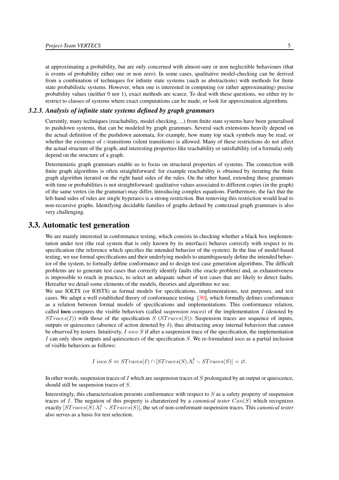at approximating a probability, but are only concerned with almost-sure or non neglectible behaviours (that is events of probability either one or non zero). In some cases, qualitative model-checking can be derived from a combination of techniques for infinite state systems (such as abstractions) with methods for finite state probabilistic systems. However, when one is interested in computing (or rather approximating) precise probability values (neither 0 nor 1), exact methods are scarce. To deal with these questions, we either try to restrict to classes of systems where exact computations can be made, or look for approximation algorithms.

#### *3.2.3. Analysis of infinite state systems defined by graph grammars*

<span id="page-8-0"></span>Currently, many techniques (reachability, model checking, ...) from finite state systems have been generalised to pushdown systems, that can be modeled by graph grammars. Several such extensions heavily depend on the actual definition of the pushdown automata, for example, how many top stack symbols may be read, or whether the existence of  $\varepsilon$ -transitions (silent transitions) is allowed. Many of these restrictions do not affect the actual structure of the graph, and interesting properties like reachability or satisfiability (of a formula) only depend on the structure of a graph.

Deterministic graph grammars enable us to focus on structural properties of systems. The connection with finite graph algorithms is often straightforward: for example reachability is obtained by iterating the finite graph algorithm iterated on the right hand sides of the rules. On the other hand, extending these grammars with time or probabilities is not straightforward: qualitative values associated to different copies (in the graph) of the same vertex (in the grammar) may differ, introducing complex equations. Furthermore, the fact that the left-hand sides of rules are single hyperarcs is a strong restriction. But removing this restriction would lead to non-recursive graphs. Identifying decidable families of graphs defined by contextual graph grammars is also very challenging.

# 3.3. Automatic test generation

<span id="page-8-1"></span>We are mainly interested in conformance testing, which consists in checking whether a black box implementation under test (the real system that is only known by its interface) behaves correctly with respect to its specification (the reference which specifies the intended behavior of the system). In the line of model-based testing, we use formal specifications and their underlying models to unambiguously define the intended behavior of the system, to formally define conformance and to design test case generation algorithms. The difficult problems are to generate test cases that correctly identify faults (the oracle problem) and, as exhaustiveness is impossible to reach in practice, to select an adequate subset of test cases that are likely to detect faults. Hereafter we detail some elements of the models, theories and algorithms we use.

We use IOLTS (or IOSTS) as formal models for specifications, implementations, test purposes, and test cases. We adapt a well established theory of conformance testing [\[30\]](#page-21-0), which formally defines conformance as a relation between formal models of specifications and implementations. This conformance relation, called ioco compares the visible behaviors (called *suspension traces*) of the implementation I (denoted by  $ST races(I)$ ) with those of the specification  $S (ST races(S))$ . Suspension traces are sequence of inputs, outputs or quiescence (absence of action denoted by  $\delta$ ), thus abstracting away internal behaviors that cannot be observed by testers. Intuitively,  $I\text{ }i\text{ }o\text{ }c\text{ }S$  if after a suspension trace of the specification, the implementation I can only show outputs and quiescences of the specification S. We re-formulated ioco as a partial inclusion of visible behaviors as follows:

*I* 
$$
ioco S \Leftrightarrow STraces(I) \cap [STraces(S).\Lambda_!^{\delta} \setminus STraces(S)] = \emptyset.
$$

In other words, suspension traces of  $I$  which are suspension traces of  $S$  prolongated by an output or quiescence, should still be suspension traces of S.

Interestingly, this characterization presents conformance with respect to  $S$  as a safety property of suspension traces of I. The negation of this property is charaterized by a *canonical tester* Can(S) which recognizes exactly  $[STraces(S) \cdot \Lambda_!^{\delta} \setminus STraces(S)]$ , the set of non-conformant suspension traces. This *canonical tester* also serves as a basis for test selection.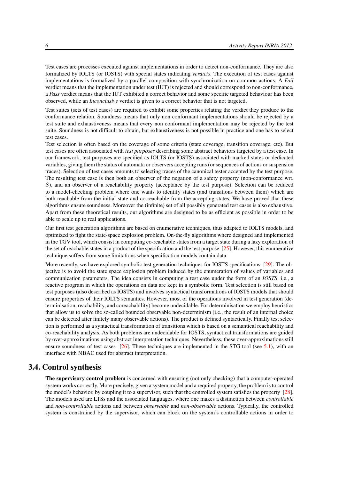Test cases are processes executed against implementations in order to detect non-conformance. They are also formalized by IOLTS (or IOSTS) with special states indicating *verdicts*. The execution of test cases against implementations is formalized by a parallel composition with synchronization on common actions. A *Fail* verdict means that the implementation under test (IUT) is rejected and should correspond to non-conformance, a *Pass* verdict means that the IUT exhibited a correct behavior and some specific targeted behaviour has been observed, while an *Inconclusive* verdict is given to a correct behavior that is not targeted.

Test suites (sets of test cases) are required to exhibit some properties relating the verdict they produce to the conformance relation. Soundness means that only non conformant implementations should be rejected by a test suite and exhaustiveness means that every non conformant implementation may be rejected by the test suite. Soundness is not difficult to obtain, but exhaustiveness is not possible in practice and one has to select test cases.

Test selection is often based on the coverage of some criteria (state coverage, transition coverage, etc). But test cases are often associated with *test purposes* describing some abstract behaviors targeted by a test case. In our framework, test purposes are specified as IOLTS (or IOSTS) associated with marked states or dedicated variables, giving them the status of automata or observers accepting runs (or sequences of actions or suspension traces). Selection of test cases amounts to selecting traces of the canonical tester accepted by the test purpose. The resulting test case is then both an observer of the negation of a safety property (non-conformance wrt. S), and an observer of a reachability property (acceptance by the test purpose). Selection can be reduced to a model-checking problem where one wants to identify states (and transitions between them) which are both reachable from the initial state and co-reachable from the accepting states. We have proved that these algorithms ensure soundness. Moreover the (infinite) set of all possibly generated test cases is also exhaustive. Apart from these theoretical results, our algorithms are designed to be as efficient as possible in order to be able to scale up to real applications.

Our first test generation algorithms are based on enumerative techniques, thus adapted to IOLTS models, and optimized to fight the state-space explosion problem. On-the-fly algorithms where designed and implemented in the TGV tool, which consist in computing co-reachable states from a target state during a lazy exploration of the set of reachable states in a product of the specification and the test purpose  $[25]$ . However, this enumerative technique suffers from some limitations when specification models contain data.

More recently, we have explored symbolic test generation techniques for IOSTS specifications [\[29\]](#page-21-1). The objective is to avoid the state space explosion problem induced by the enumeration of values of variables and communication parameters. The idea consists in computing a test case under the form of an *IOSTS*, i.e., a reactive program in which the operations on data are kept in a symbolic form. Test selection is still based on test purposes (also described as IOSTS) and involves syntactical transformations of IOSTS models that should ensure properties of their IOLTS semantics. However, most of the operations involved in test generation (determinisation, reachability, and coreachability) become undecidable. For determinisation we employ heuristics that allow us to solve the so-called bounded observable non-determinism (i.e., the result of an internal choice can be detected after finitely many observable actions). The product is defined syntactically. Finally test selection is performed as a syntactical transformation of transitions which is based on a semantical reachability and co-reachability analysis. As both problems are undecidable for IOSTS, syntactical transformations are guided by over-approximations using abstract interpretation techniques. Nevertheless, these over-approximations still ensure soundness of test cases  $[26]$ . These techniques are implemented in the STG tool (see [5.1\)](#page-11-3), with an interface with NBAC used for abstract interpretation.

# 3.4. Control synthesis

<span id="page-9-0"></span>The supervisory control problem is concerned with ensuring (not only checking) that a computer-operated system works correctly. More precisely, given a system model and a required property, the problem is to control the model's behavior, by coupling it to a supervisor, such that the controlled system satisfies the property [\[28\]](#page-21-2). The models used are LTSs and the associated languages, where one makes a distinction between *controllable* and *non-controllable* actions and between *observable* and *non-observable* actions. Typically, the controlled system is constrained by the supervisor, which can block on the system's controllable actions in order to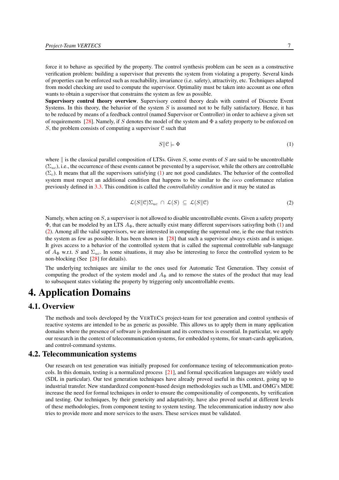force it to behave as specified by the property. The control synthesis problem can be seen as a constructive verification problem: building a supervisor that prevents the system from violating a property. Several kinds of properties can be enforced such as reachability, invariance (i.e. safety), attractivity, etc. Techniques adapted from model checking are used to compute the supervisor. Optimality must be taken into account as one often wants to obtain a supervisor that constrains the system as few as possible.

Supervisory control theory overview. Supervisory control theory deals with control of Discrete Event Systems. In this theory, the behavior of the system  $S$  is assumed not to be fully satisfactory. Hence, it has to be reduced by means of a feedback control (named Supervisor or Controller) in order to achieve a given set of requirements [\[28\]](#page-21-2). Namely, if S denotes the model of the system and  $\Phi$  a safety property to be enforced on S, the problem consists of computing a supervisor  $C$  such that

$$
S \|\mathcal{C} \models \Phi \tag{1}
$$

<span id="page-10-3"></span>where  $\parallel$  is the classical parallel composition of LTSs. Given S, some events of S are said to be uncontrollable  $(\Sigma_{uc})$ , i.e., the occurrence of these events cannot be prevented by a supervisor, while the others are controllable  $(\Sigma_c)$ . It means that all the supervisors satisfying [\(1\)](#page-10-3) are not good candidates. The behavior of the controlled system must respect an additional condition that happens to be similar to the *ioco* conformance relation previously defined in [3.3.](#page-8-1) This condition is called the *controllability condition* and it may be stated as

$$
\mathcal{L}(S||\mathcal{C})\Sigma_{uc} \cap \mathcal{L}(S) \subseteq \mathcal{L}(S||\mathcal{C}) \tag{2}
$$

<span id="page-10-4"></span>Namely, when acting on  $S$ , a supervisor is not allowed to disable uncontrollable events. Given a safety property  $\Phi$ , that can be modeled by an LTS  $A_{\Phi}$ , there actually exist many different supervisors satisyfing both [\(1\)](#page-10-3) and [\(2\)](#page-10-4). Among all the valid supervisors, we are interested in computing the supremal one, ie the one that restricts the system as few as possible. It has been shown in [\[28\]](#page-21-2) that such a supervisor always exists and is unique. It gives access to a behavior of the controlled system that is called the supremal controllable sub-language of  $A_{\Phi}$  w.r.t. S and  $\Sigma_{uc}$ . In some situations, it may also be interesting to force the controlled system to be non-blocking (See [\[28\]](#page-21-2) for details).

The underlying techniques are similar to the ones used for Automatic Test Generation. They consist of computing the product of the system model and  $A_{\Phi}$  and to remove the states of the product that may lead to subsequent states violating the property by triggering only uncontrollable events.

# <span id="page-10-0"></span>4. Application Domains

# 4.1. Overview

<span id="page-10-1"></span>The methods and tools developed by the VERTECS project-team for test generation and control synthesis of reactive systems are intended to be as generic as possible. This allows us to apply them in many application domains where the presence of software is predominant and its correctness is essential. In particular, we apply our research in the context of telecommunication systems, for embedded systems, for smart-cards application, and control-command systems.

# 4.2. Telecommunication systems

<span id="page-10-2"></span>Our research on test generation was initially proposed for conformance testing of telecommunication protocols. In this domain, testing is a normalized process [\[21\]](#page-20-4), and formal specification languages are widely used (SDL in particular). Our test generation techniques have already proved useful in this context, going up to industrial transfer. New standardized component-based design methodologies such as UML and OMG's MDE increase the need for formal techniques in order to ensure the compositionality of components, by verification and testing. Our techniques, by their genericity and adaptativity, have also proved useful at different levels of these methodologies, from component testing to system testing. The telecommunication industry now also tries to provide more and more services to the users. These services must be validated.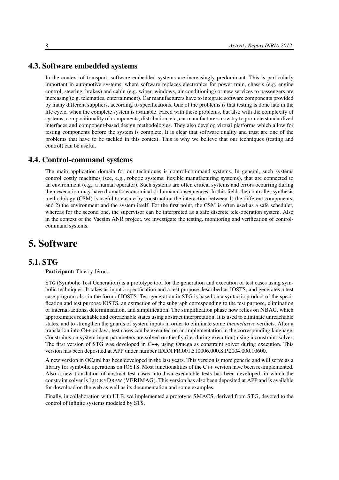# 4.3. Software embedded systems

<span id="page-11-0"></span>In the context of transport, software embedded systems are increasingly predominant. This is particularly important in automotive systems, where software replaces electronics for power train, chassis (e.g. engine control, steering, brakes) and cabin (e.g. wiper, windows, air conditioning) or new services to passengers are increasing (e.g. telematics, entertainment). Car manufacturers have to integrate software components provided by many different suppliers, according to specifications. One of the problems is that testing is done late in the life cycle, when the complete system is available. Faced with these problems, but also with the complexity of systems, compositionality of components, distribution, etc, car manufacturers now try to promote standardized interfaces and component-based design methodologies. They also develop virtual platforms which allow for testing components before the system is complete. It is clear that software quality and trust are one of the problems that have to be tackled in this context. This is why we believe that our techniques (testing and control) can be useful.

# 4.4. Control-command systems

<span id="page-11-1"></span>The main application domain for our techniques is control-command systems. In general, such systems control costly machines (see, e.g., robotic systems, flexible manufacturing systems), that are connected to an environment (e.g., a human operator). Such systems are often critical systems and errors occurring during their execution may have dramatic economical or human consequences. In this field, the controller synthesis methodology (CSM) is useful to ensure by construction the interaction between 1) the different components, and 2) the environment and the system itself. For the first point, the CSM is often used as a safe scheduler, whereas for the second one, the supervisor can be interpreted as a safe discrete tele-operation system. Also in the context of the Vacsim ANR project, we investigate the testing, monitoring and verification of controlcommand systems.

# <span id="page-11-2"></span>5. Software

# 5.1. STG

<span id="page-11-3"></span>Participant: Thierry Jéron.

STG (Symbolic Test Generation) is a prototype tool for the generation and execution of test cases using symbolic techniques. It takes as input a specification and a test purpose described as IOSTS, and generates a test case program also in the form of IOSTS. Test generation in STG is based on a syntactic product of the specification and test purpose IOSTS, an extraction of the subgraph corresponding to the test purpose, elimination of internal actions, determinisation, and simplification. The simplification phase now relies on NBAC, which approximates reachable and coreachable states using abstract interpretation. It is used to eliminate unreachable states, and to strengthen the guards of system inputs in order to eliminate some *Inconclusive* verdicts. After a translation into C++ or Java, test cases can be executed on an implementation in the corresponding language. Constraints on system input parameters are solved on-the-fly (i.e. during execution) using a constraint solver. The first version of STG was developed in C++, using Omega as constraint solver during execution. This version has been deposited at APP under number IDDN.FR.001.510006.000.S.P.2004.000.10600.

A new version in OCaml has been developed in the last years. This version is more generic and will serve as a library for symbolic operations on IOSTS. Most functionalities of the C++ version have been re-implemented. Also a new translation of abstract test cases into Java executable tests has been developed, in which the constraint solver is LUCKYDRAW (VERIMAG). This version has also been deposited at APP and is available for download on the web as well as its documentation and some examples.

Finally, in collaboration with ULB, we implemented a prototype SMACS, derived from STG, devoted to the control of infinite systems modeled by STS.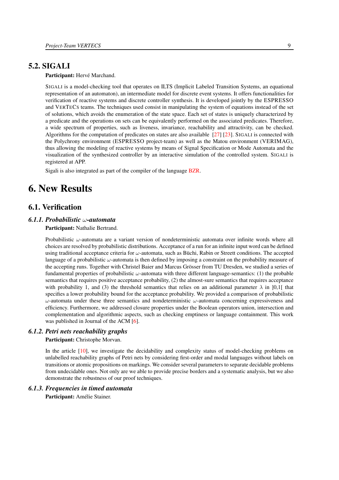# 5.2. SIGALI

#### <span id="page-12-0"></span>Participant: Hervé Marchand.

SIGALI is a model-checking tool that operates on ILTS (Implicit Labeled Transition Systems, an equational representation of an automaton), an intermediate model for discrete event systems. It offers functionalities for verification of reactive systems and discrete controller synthesis. It is developed jointly by the ESPRESSO and VERTECS teams. The techniques used consist in manipulating the system of equations instead of the set of solutions, which avoids the enumeration of the state space. Each set of states is uniquely characterized by a predicate and the operations on sets can be equivalently performed on the associated predicates. Therefore, a wide spectrum of properties, such as liveness, invariance, reachability and attractivity, can be checked. Algorithms for the computation of predicates on states are also available [\[27\]](#page-21-3) [\[23\]](#page-20-5). SIGALI is connected with the Polychrony environment (ESPRESSO project-team) as well as the Matou environment (VERIMAG), thus allowing the modeling of reactive systems by means of Signal Specification or Mode Automata and the visualization of the synthesized controller by an interactive simulation of the controlled system. SIGALI is registered at APP.

<span id="page-12-1"></span>Sigali is also integrated as part of the compiler of the language [BZR.](http://bzr.inria.fr/)

# 6. New Results

# <span id="page-12-2"></span>6.1. Verification

#### *6.1.1. Probabilistic* ω*-automata*

#### <span id="page-12-3"></span>Participant: Nathalie Bertrand.

Probabilistic  $\omega$ -automata are a variant version of nondeterministic automata over infinite words where all choices are resolved by probabilistic distributions. Acceptance of a run for an infinite input word can be defined using traditional acceptance criteria for  $\omega$ -automata, such as Büchi, Rabin or Streett conditions. The accepted language of a probabilistic  $\omega$ -automata is then defined by imposing a constraint on the probability measure of the accepting runs. Together with Christel Baier and Marcus Grösser from TU Dresden, we studied a series of fundamental properties of probabilistic  $\omega$ -automata with three different language-semantics: (1) the probable semantics that requires positive acceptance probability, (2) the almost-sure semantics that requires acceptance with probability 1, and (3) the threshold semantics that relies on an additional parameter  $\lambda$  in [0,1] that specifies a lower probability bound for the acceptance probability. We provided a comparison of probabilistic  $ω$ -automata under these three semantics and nondeterministic  $ω$ -automata concerning expressiveness and efficiency. Furthermore, we addressed closure properties under the Boolean operators union, intersection and complementation and algorithmic aspects, such as checking emptiness or language containment. This work was published in Journal of the ACM [\[6\]](#page-19-0).

#### *6.1.2. Petri nets reachability graphs*

#### <span id="page-12-4"></span>Participant: Christophe Morvan.

In the article [\[10\]](#page-19-1), we investigate the decidability and complexity status of model-checking problems on unlabelled reachability graphs of Petri nets by considering first-order and modal languages without labels on transitions or atomic propositions on markings. We consider several parameters to separate decidable problems from undecidable ones. Not only are we able to provide precise borders and a systematic analysis, but we also demonstrate the robustness of our proof techniques.

#### *6.1.3. Frequencies in timed automata*

<span id="page-12-5"></span>Participant: Amélie Stainer.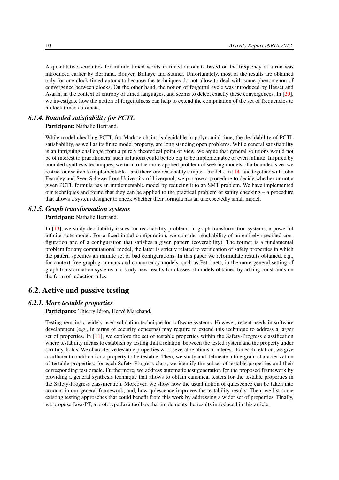A quantitative semantics for infinite timed words in timed automata based on the frequency of a run was introduced earlier by Bertrand, Bouyer, Brihaye and Stainer. Unfortunately, most of the results are obtained only for one-clock timed automata because the techniques do not allow to deal with some phenomenon of convergence between clocks. On the other hand, the notion of forgetful cycle was introduced by Basset and Asarin, in the context of entropy of timed languages, and seems to detect exactly these convergences. In [\[20\]](#page-20-6), we investigate how the notion of forgetfulness can help to extend the computation of the set of frequencies to n-clock timed automata.

#### *6.1.4. Bounded satisfiability for PCTL*

<span id="page-13-0"></span>Participant: Nathalie Bertrand.

While model checking PCTL for Markov chains is decidable in polynomial-time, the decidability of PCTL satisfiability, as well as its finite model property, are long standing open problems. While general satisfiability is an intriguing challenge from a purely theoretical point of view, we argue that general solutions would not be of interest to practitioners: such solutions could be too big to be implementable or even infinite. Inspired by bounded synthesis techniques, we turn to the more applied problem of seeking models of a bounded size: we restrict our search to implementable – and therefore reasonably simple – models. In [\[14\]](#page-19-2) and together with John Fearnley and Sven Schewe from University of Liverpool, we propose a procedure to decide whether or not a given PCTL formula has an implementable model by reducing it to an SMT problem. We have implemented our techniques and found that they can be applied to the practical problem of sanity checking – a procedure that allows a system designer to check whether their formula has an unexpectedly small model.

#### *6.1.5. Graph transformation systems*

<span id="page-13-1"></span>Participant: Nathalie Bertrand.

In [\[13\]](#page-19-3), we study decidability issues for reachability problems in graph transformation systems, a powerful infinite-state model. For a fixed initial configuration, we consider reachability of an entirely specified configuration and of a configuration that satisfies a given pattern (coverability). The former is a fundamental problem for any computational model, the latter is strictly related to verification of safety properties in which the pattern specifies an infinite set of bad configurations. In this paper we reformulate results obtained, e.g., for context-free graph grammars and concurrency models, such as Petri nets, in the more general setting of graph transformation systems and study new results for classes of models obtained by adding constraints on the form of reduction rules.

# <span id="page-13-2"></span>6.2. Active and passive testing

#### *6.2.1. More testable properties*

<span id="page-13-3"></span>Participants: Thierry Jéron, Hervé Marchand.

Testing remains a widely used validation technique for software systems. However, recent needs in software development (e.g., in terms of security concerns) may require to extend this technique to address a larger set of properties. In [\[11\]](#page-19-4), we explore the set of testable properties within the Safety-Progress classification where testability means to establish by testing that a relation, between the tested system and the property under scrutiny, holds. We characterize testable properties w.r.t. several relations of interest. For each relation, we give a sufficient condition for a property to be testable. Then, we study and delineate a fine-grain characterization of testable properties: for each Safety-Progress class, we identify the subset of testable properties and their corresponding test oracle. Furthermore, we address automatic test generation for the proposed framework by providing a general synthesis technique that allows to obtain canonical testers for the testable properties in the Safety-Progress classification. Moreover, we show how the usual notion of quiescence can be taken into account in our general framework, and, how quiescence improves the testability results. Then, we list some existing testing approaches that could benefit from this work by addressing a wider set of properties. Finally, we propose Java-PT, a prototype Java toolbox that implements the results introduced in this article.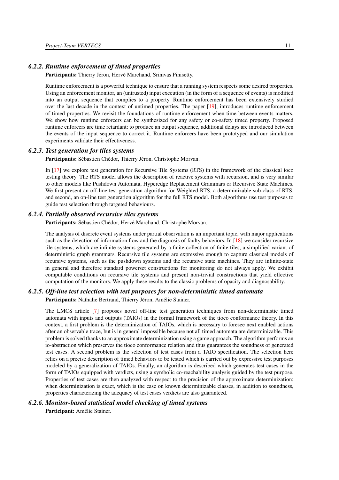#### *6.2.2. Runtime enforcement of timed properties*

<span id="page-14-0"></span>Participants: Thierry Jéron, Hervé Marchand, Srinivas Pinisetty.

Runtime enforcement is a powerful technique to ensure that a running system respects some desired properties. Using an enforcement monitor, an (untrusted) input execution (in the form of a sequence of events) is modified into an output sequence that complies to a property. Runtime enforcement has been extensively studied over the last decade in the context of untimed properties. The paper [\[19\]](#page-20-7), introduces runtime enforcement of timed properties. We revisit the foundations of runtime enforcement when time between events matters. We show how runtime enforcers can be synthesized for any safety or co-safety timed property. Proposed runtime enforcers are time retardant: to produce an output sequence, additional delays are introduced between the events of the input sequence to correct it. Runtime enforcers have been prototyped and our simulation experiments validate their effectiveness.

#### *6.2.3. Test generation for tiles systems*

<span id="page-14-1"></span>Participants: Sébastien Chédor, Thierry Jéron, Christophe Morvan.

In [\[17\]](#page-20-8) we explore test generation for Recursive Tile Systems (RTS) in the framework of the classical ioco testing theory. The RTS model allows the description of reactive systems with recursion, and is very similar to other models like Pushdown Automata, Hyperedge Replacement Grammars or Recursive State Machines. We first present an off-line test generation algorithm for Weighted RTS, a determinizable sub-class of RTS, and second, an on-line test generation algorithm for the full RTS model. Both algorithms use test purposes to guide test selection through targeted behaviours.

#### *6.2.4. Partially observed recursive tiles systems*

<span id="page-14-2"></span>Participants: Sébastien Chédor, Hervé Marchand, Christophe Morvan.

The analysis of discrete event systems under partial observation is an important topic, with major applications such as the detection of information flow and the diagnosis of faulty behaviors. In [\[18\]](#page-20-9) we consider recursive tile systems, which are infinite systems generated by a finite collection of finite tiles, a simplified variant of deterministic graph grammars. Recursive tile systems are expressive enough to capture classical models of recursive systems, such as the pushdown systems and the recursive state machines. They are infinite-state in general and therefore standard powerset constructions for monitoring do not always apply. We exhibit computable conditions on recursive tile systems and present non-trivial constructions that yield effective computation of the monitors. We apply these results to the classic problems of opacity and diagnosability.

#### *6.2.5. Off-line test selection with test purposes for non-deterministic timed automata*

<span id="page-14-3"></span>Participants: Nathalie Bertrand, Thierry Jéron, Amélie Stainer.

The LMCS article [\[7\]](#page-19-5) proposes novel off-line test generation techniques from non-deterministic timed automata with inputs and outputs (TAIOs) in the formal framework of the tioco conformance theory. In this context, a first problem is the determinization of TAIOs, which is necessary to foresee next enabled actions after an observable trace, but is in general impossible because not all timed automata are determinizable. This problem is solved thanks to an approximate determinization using a game approach. The algorithm performs an io-abstraction which preserves the tioco conformance relation and thus guarantees the soundness of generated test cases. A second problem is the selection of test cases from a TAIO specification. The selection here relies on a precise description of timed behaviors to be tested which is carried out by expressive test purposes modeled by a generalization of TAIOs. Finally, an algorithm is described which generates test cases in the form of TAIOs equipped with verdicts, using a symbolic co-reachability analysis guided by the test purpose. Properties of test cases are then analyzed with respect to the precision of the approximate determinization: when determinization is exact, which is the case on known determinizable classes, in addition to soundness, properties characterizing the adequacy of test cases verdicts are also guaranteed.

#### *6.2.6. Monitor-based statistical model checking of timed systems*

<span id="page-14-4"></span>Participant: Amélie Stainer.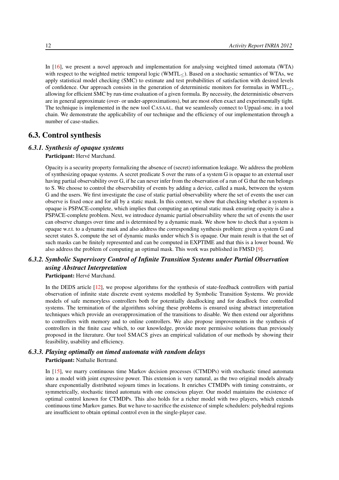In [\[16\]](#page-20-10), we present a novel approach and implementation for analysing weighted timed automata (WTA) with respect to the weighted metric temporal logic (WMTL<). Based on a stochastic semantics of WTAs, we apply statistical model checking (SMC) to estimate and test probabilities of satisfaction with desired levels of confidence. Our approach consists in the generation of deterministic monitors for formulas in WMTL $<$ , allowing for efficient SMC by run-time evaluation of a given formula. By necessity, the deterministic observers are in general approximate (over- or under-approximations), but are most often exact and experimentally tight. The technique is implemented in the new tool CASAAL. that we seamlessly connect to Uppaal-smc. in a tool chain. We demonstrate the applicability of our technique and the efficiency of our implementation through a number of case-studies.

# <span id="page-15-0"></span>6.3. Control synthesis

#### *6.3.1. Synthesis of opaque systems*

<span id="page-15-1"></span>Participant: Hervé Marchand.

Opacity is a security property formalizing the absence of (secret) information leakage. We address the problem of synthesizing opaque systems. A secret predicate S over the runs of a system G is opaque to an external user having partial observability over G, if he can never infer from the observation of a run of G that the run belongs to S. We choose to control the observability of events by adding a device, called a mask, between the system G and the users. We first investigate the case of static partial observability where the set of events the user can observe is fixed once and for all by a static mask. In this context, we show that checking whether a system is opaque is PSPACE-complete, which implies that computing an optimal static mask ensuring opacity is also a PSPACE-complete problem. Next, we introduce dynamic partial observability where the set of events the user can observe changes over time and is determined by a dynamic mask. We show how to check that a system is opaque w.r.t. to a dynamic mask and also address the corresponding synthesis problem: given a system G and secret states S, compute the set of dynamic masks under which S is opaque. Our main result is that the set of such masks can be finitely represented and can be computed in EXPTIME and that this is a lower bound. We also address the problem of computing an optimal mask. This work was published in FMSD [\[9\]](#page-19-6).

# <span id="page-15-2"></span>*6.3.2. Symbolic Supervisory Control of Infinite Transition Systems under Partial Observation using Abstract Interpretation*

Participant: Hervé Marchand.

In the DEDS article [\[12\]](#page-19-7), we propose algorithms for the synthesis of state-feedback controllers with partial observation of infinite state discrete event systems modelled by Symbolic Transition Systems. We provide models of safe memoryless controllers both for potentially deadlocking and for deadlock free controlled systems. The termination of the algorithms solving these problems is ensured using abstract interpretation techniques which provide an overapproximation of the transitions to disable. We then extend our algorithms to controllers with memory and to online controllers. We also propose improvements in the synthesis of controllers in the finite case which, to our knowledge, provide more permissive solutions than previously proposed in the literature. Our tool SMACS gives an empirical validation of our methods by showing their feasibility, usability and efficiency.

# <span id="page-15-3"></span>*6.3.3. Playing optimally on timed automata with random delays* Participant: Nathalie Bertrand.

In [\[15\]](#page-20-11), we marry continuous time Markov decision processes (CTMDPs) with stochastic timed automata into a model with joint expressive power. This extension is very natural, as the two original models already share exponentially distributed sojourn times in locations. It enriches CTMDPs with timing constraints, or symmetrically, stochastic timed automata with one conscious player. Our model maintains the existence of optimal control known for CTMDPs. This also holds for a richer model with two players, which extends continuous time Markov games. But we have to sacrifice the existence of simple schedulers: polyhedral regions are insufficient to obtain optimal control even in the single-player case.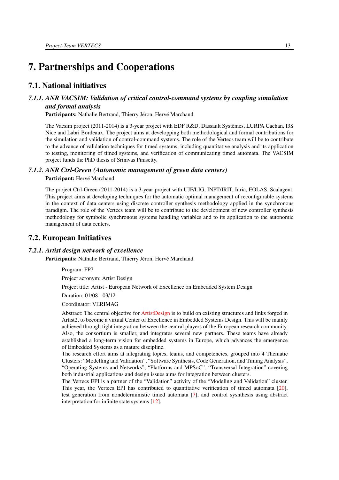# <span id="page-16-0"></span>7. Partnerships and Cooperations

# <span id="page-16-1"></span>7.1. National initiatives

# <span id="page-16-2"></span>*7.1.1. ANR VACSIM: Validation of critical control-command systems by coupling simulation and formal analysis*

Participants: Nathalie Bertrand, Thierry Jéron, Hervé Marchand.

The Vacsim project (2011-2014) is a 3-year project with EDF R&D, Dassault Systèmes, LURPA Cachan, I3S Nice and Labri Bordeaux. The project aims at developping both methodological and formal contributions for the simulation and validation of control-command systems. The role of the Vertecs team will be to contribute to the advance of validation techniques for timed systems, including quantitative analysis and its application to testing, monitoring of timed systems, and verification of communicating timed automata. The VACSIM project funds the PhD thesis of Srinivas Pinisetty.

#### *7.1.2. ANR Ctrl-Green (Autonomic management of green data centers)*

<span id="page-16-3"></span>Participant: Hervé Marchand.

The project Ctrl-Green (2011-2014) is a 3-year project with UJF/LIG, INPT/IRIT, Inria, EOLAS, Scalagent. This project aims at developing techniques for the automatic optimal management of reconfigurable systems in the context of data centers using discrete controller synthesis methodology applied in the synchronous paradigm. The role of the Vertecs team will be to contribute to the development of new controller synthesis methodology for symbolic synchronous systems handling variables and to its application to the autonomic management of data centers.

# <span id="page-16-4"></span>7.2. European Initiatives

#### *7.2.1. Artist design network of excellence*

<span id="page-16-5"></span>Participants: Nathalie Bertrand, Thierry Jéron, Hervé Marchand.

Program: FP7

Project acronym: Artist Design

Project title: Artist - European Network of Excellence on Embedded System Design

Duration: 01/08 - 03/12

Coordinator: VERIMAG

Abstract: The central objective for [ArtistDesign](http://www.artist-embedded.org/artist/-ArtistDesign-Participants-.html) is to build on existing structures and links forged in Artist2, to become a virtual Center of Excellence in Embedded Systems Design. This will be mainly achieved through tight integration between the central players of the European research community. Also, the consortium is smaller, and integrates several new partners. These teams have already established a long-term vision for embedded systems in Europe, which advances the emergence of Embedded Systems as a mature discipline.

The research effort aims at integrating topics, teams, and competencies, grouped into 4 Thematic Clusters: "Modelling and Validation", "Software Synthesis, Code Generation, and Timing Analysis", "Operating Systems and Networks", "Platforms and MPSoC". "Transversal Integration" covering both industrial applications and design issues aims for integration between clusters.

The Vertecs EPI is a partner of the "Validation" activity of the "Modeling and Validation" cluster. This year, the Vertecs EPI has contributed to quantitative verification of timed automata [\[20\]](#page-20-6), test generation from nondeterministic timed automata [\[7\]](#page-19-5), and control sysnthesis using abstract interpretation for infinite state systems [\[12\]](#page-19-7).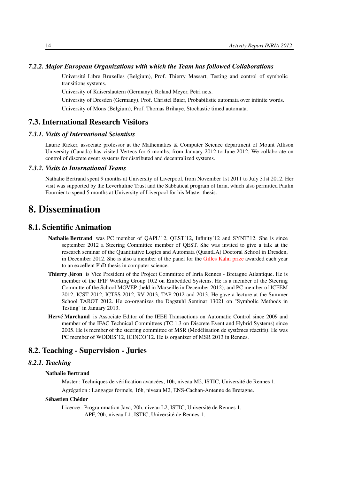#### <span id="page-17-0"></span>*7.2.2. Major European Organizations with which the Team has followed Collaborations*

Université Libre Bruxelles (Belgium), Prof. Thierry Massart, Testing and control of symbolic transitions systems.

University of Kaiserslautern (Germany), Roland Meyer, Petri nets.

University of Dresden (Germany), Prof. Christel Baier, Probabilistic automata over infinite words.

University of Mons (Belgium), Prof. Thomas Brihaye, Stochastic timed automata.

# <span id="page-17-1"></span>7.3. International Research Visitors

#### *7.3.1. Visits of International Scientists*

<span id="page-17-2"></span>Laurie Ricker, associate professor at the Mathematics & Computer Science department of Mount Allison University (Canada) has visited Vertecs for 6 months, from January 2012 to June 2012. We collaborate on control of discrete event systems for distributed and decentralized systems.

#### *7.3.2. Visits to International Teams*

<span id="page-17-3"></span>Nathalie Bertrand spent 9 months at University of Liverpool, from November 1st 2011 to July 31st 2012. Her visit was supported by the Leverhulme Trust and the Sabbatical program of Inria, which also permitted Paulin Fournier to spend 5 months at University of Liverpool for his Master thesis.

# <span id="page-17-4"></span>8. Dissemination

### 8.1. Scientific Animation

- <span id="page-17-5"></span>Nathalie Bertrand was PC member of QAPL'12, QEST'12, Infinity'12 and SYNT'12. She is since september 2012 a Steering Committee member of QEST. She was invited to give a talk at the research seminar of the Quantitative Logics and Automata (QuantLA) Doctoral School in Dresden, in December 2012. She is also a member of the panel for the [Gilles Kahn prize](http://www.societe-informatique-de-france.fr/prix-these/) awarded each year to an excellent PhD thesis in computer science.
- Thierry Jéron is Vice President of the Project Committee of Inria Rennes Bretagne Atlantique. He is member of the IFIP Working Group 10.2 on Embedded Systems. He is a member of the Steering Committe of the School MOVEP (held in Marseille in December 2012), and PC member of ICFEM 2012, ICST 2012, ICTSS 2012, RV 2013, TAP 2012 and 2013. He gave a lecture at the Summer School TAROT 2012. He co-organizes the Dagstuhl Seminar 13021 on "Symbolic Methods in Testing" in January 2013.
- Hervé Marchand is Associate Editor of the IEEE Transactions on Automatic Control since 2009 and member of the IFAC Technical Committees (TC 1.3 on Discrete Event and Hybrid Systems) since 2005. He is member of the steering committee of MSR (Modélisation de systèmes réactifs). He was PC member of WODES'12, ICINCO'12. He is organizer of MSR 2013 in Rennes.

# <span id="page-17-6"></span>8.2. Teaching - Supervision - Juries

## *8.2.1. Teaching*

#### <span id="page-17-7"></span>Nathalie Bertrand

Master : Techniques de vérification avancées, 10h, niveau M2, ISTIC, Université de Rennes 1.

Agrégation : Langages formels, 16h, niveau M2, ENS-Cachan-Antenne de Bretagne.

#### Sébastien Chédor

Licence : Programmation Java, 20h, niveau L2, ISTIC, Université de Rennes 1.

APF, 20h, niveau L1, ISTIC, Université de Rennes 1.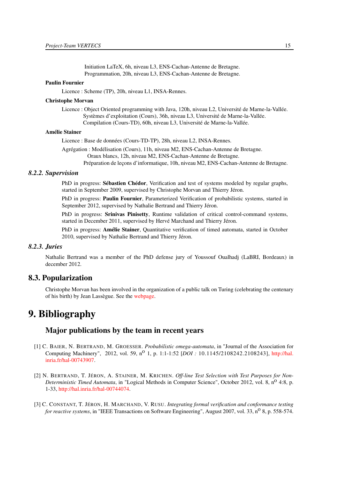Initiation LaTeX, 6h, niveau L3, ENS-Cachan-Antenne de Bretagne. Programmation, 20h, niveau L3, ENS-Cachan-Antenne de Bretagne.

#### Paulin Fournier

Licence : Scheme (TP), 20h, niveau L1, INSA-Rennes.

#### Christophe Morvan

Licence : Object Oriented programming with Java, 120h, niveau L2, Université de Marne-la-Vallée. Systèmes d'exploitation (Cours), 36h, niveau L3, Université de Marne-la-Vallée. Compilation (Cours-TD), 60h, niveau L3, Université de Marne-la-Vallée.

#### Amélie Stainer

Licence : Base de données (Cours-TD-TP), 28h, niveau L2, INSA-Rennes.

Agrégation : Modélisation (Cours), 11h, niveau M2, ENS-Cachan-Antenne de Bretagne. Oraux blancs, 12h, niveau M2, ENS-Cachan-Antenne de Bretagne. Préparation de leçons d'informatique, 10h, niveau M2, ENS-Cachan-Antenne de Bretagne.

#### <span id="page-18-0"></span>*8.2.2. Supervision*

PhD in progress: Sébastien Chédor, Verification and test of systems modeled by regular graphs, started in September 2009, supervised by Christophe Morvan and Thierry Jéron.

PhD in progress: Paulin Fournier, Parameterized Verification of probabilistic systems, started in September 2012, supervised by Nathalie Bertrand and Thierry Jéron.

PhD in progress: Srinivas Pinisetty, Runtime validation of critical control-command systems, started in December 2011, supervised by Hervé Marchand and Thierry Jéron.

PhD in progress: Amélie Stainer, Quantitative verification of timed automata, started in October 2010, supervised by Nathalie Bertrand and Thierry Jéron.

#### *8.2.3. Juries*

<span id="page-18-1"></span>Nathalie Bertrand was a member of the PhD defense jury of Youssouf Oualhadj (LaBRI, Bordeaux) in december 2012.

## 8.3. Popularization

<span id="page-18-2"></span>Christophe Morvan has been involved in the organization of a public talk on Turing (celebrating the centenary of his birth) by Jean Lassègue. See the [webpage.](http://gpl2012.irisa.fr/?q=node/33)

# <span id="page-18-3"></span>9. Bibliography

## Major publications by the team in recent years

- [1] C. BAIER, N. BERTRAND, M. GROESSER. *Probabilistic omega-automata*, in "Journal of the Association for Computing Machinery", 2012, vol. 59, n<sup>o</sup> 1, p. 1:1-1:52 [*DOI*: 10.1145/2108242.2108243], [http://hal.](http://hal.inria.fr/hal-00743907) [inria.fr/hal-00743907.](http://hal.inria.fr/hal-00743907)
- [2] N. BERTRAND, T. JÉRON, A. STAINER, M. KRICHEN. *Off-line Test Selection with Test Purposes for Non-Deterministic Timed Automata*, in "Logical Methods in Computer Science", October 2012, vol. 8, n<sup>o</sup> 4:8, p. 1-33, [http://hal.inria.fr/hal-00744074.](http://hal.inria.fr/hal-00744074)
- [3] C. CONSTANT, T. JÉRON, H. MARCHAND, V. RUSU. *Integrating formal verification and conformance testing for reactive systems*, in "IEEE Transactions on Software Engineering", August 2007, vol. 33, n<sup>o</sup> 8, p. 558-574.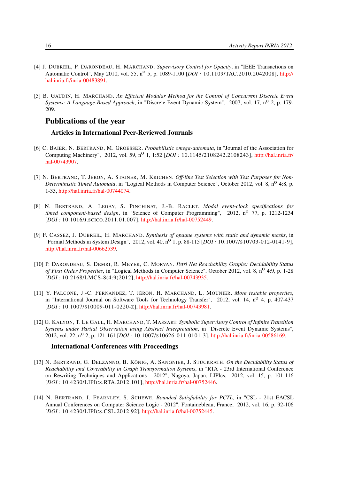- [4] J. DUBREIL, P. DARONDEAU, H. MARCHAND. *Supervisory Control for Opacity*, in "IEEE Transactions on Automatic Control", May 2010, vol. 55, no 5, p. 1089-1100 [*DOI :* 10.1109/TAC.2010.2042008], [http://](http://hal.inria.fr/inria-00483891) [hal.inria.fr/inria-00483891.](http://hal.inria.fr/inria-00483891)
- [5] B. GAUDIN, H. MARCHAND. *An Efficient Modular Method for the Control of Concurrent Discrete Event Systems: A Language-Based Approach*, in "Discrete Event Dynamic System", 2007, vol. 17, n<sup>o</sup> 2, p. 179-209.

# Publications of the year

#### Articles in International Peer-Reviewed Journals

- <span id="page-19-0"></span>[6] C. BAIER, N. BERTRAND, M. GROESSER. *Probabilistic omega-automata*, in "Journal of the Association for Computing Machinery", 2012, vol. 59, n<sup>o</sup> 1, 1:52 [*DOI*: 10.1145/2108242.2108243], [http://hal.inria.fr/](http://hal.inria.fr/hal-00743907) [hal-00743907.](http://hal.inria.fr/hal-00743907)
- <span id="page-19-5"></span>[7] N. BERTRAND, T. JÉRON, A. STAINER, M. KRICHEN. *Off-line Test Selection with Test Purposes for Non-Deterministic Timed Automata*, in "Logical Methods in Computer Science", October 2012, vol. 8, n<sup>o</sup> 4:8, p. 1-33, [http://hal.inria.fr/hal-00744074.](http://hal.inria.fr/hal-00744074)
- [8] N. BERTRAND, A. LEGAY, S. PINCHINAT, J.-B. RACLET. *Modal event-clock specifications for timed component-based design*, in "Science of Computer Programming", 2012, n<sup>o</sup> 77, p. 1212-1234 [*DOI :* 10.1016/J.SCICO.2011.01.007], [http://hal.inria.fr/hal-00752449.](http://hal.inria.fr/hal-00752449)
- <span id="page-19-6"></span>[9] F. CASSEZ, J. DUBREIL, H. MARCHAND. *Synthesis of opaque systems with static and dynamic masks*, in "Formal Methods in System Design", 2012, vol. 40, n<sup>o</sup> 1, p. 88-115 [*DOI* : 10.1007/s10703-012-0141-9], [http://hal.inria.fr/hal-00662539.](http://hal.inria.fr/hal-00662539)
- <span id="page-19-1"></span>[10] P. DARONDEAU, S. DEMRI, R. MEYER, C. MORVAN. *Petri Net Reachability Graphs: Decidability Status of First Order Properties*, in "Logical Methods in Computer Science", October 2012, vol. 8, no 4:9, p. 1-28 [*DOI :* 10.2168/LMCS-8(4:9)2012], [http://hal.inria.fr/hal-00743935.](http://hal.inria.fr/hal-00743935)
- <span id="page-19-4"></span>[11] Y. FALCONE, J.-C. FERNANDEZ, T. JÉRON, H. MARCHAND, L. MOUNIER. *More testable properties*, in "International Journal on Software Tools for Technology Transfer", 2012, vol. 14,  $n^{\circ}$  4, p. 407-437 [*DOI*: 10.1007/s10009-011-0220-z], [http://hal.inria.fr/hal-00743981.](http://hal.inria.fr/hal-00743981)
- <span id="page-19-7"></span>[12] G. KALYON, T. LE GALL, H. MARCHAND, T. MASSART. *Symbolic Supervisory Control of Infinite Transition Systems under Partial Observation using Abstract Interpretation*, in "Discrete Event Dynamic Systems", 2012, vol. 22, no 2, p. 121-161 [*DOI :* 10.1007/S10626-011-0101-3], [http://hal.inria.fr/inria-00586169.](http://hal.inria.fr/inria-00586169)

#### International Conferences with Proceedings

- <span id="page-19-3"></span>[13] N. BERTRAND, G. DELZANNO, B. KÖNIG, A. SANGNIER, J. STÜCKRATH. *On the Decidability Status of Reachability and Coverability in Graph Transformation Systems*, in "RTA - 23rd International Conference on Rewriting Techniques and Applications - 2012", Nagoya, Japan, LIPIcs, 2012, vol. 15, p. 101-116 [*DOI :* 10.4230/LIPICS.RTA.2012.101], [http://hal.inria.fr/hal-00752446.](http://hal.inria.fr/hal-00752446)
- <span id="page-19-2"></span>[14] N. BERTRAND, J. FEARNLEY, S. SCHEWE. *Bounded Satisfiability for PCTL*, in "CSL - 21st EACSL Annual Conferences on Computer Science Logic - 2012", Fontainebleau, France, 2012, vol. 16, p. 92-106 [*DOI :* 10.4230/LIPICS.CSL.2012.92], [http://hal.inria.fr/hal-00752445.](http://hal.inria.fr/hal-00752445)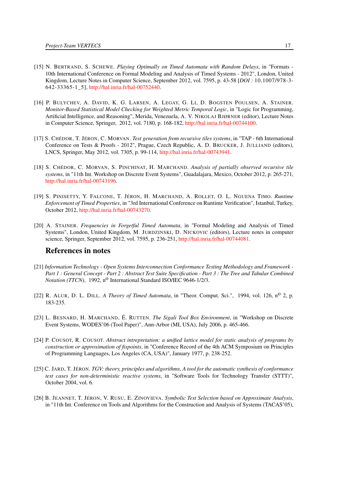- <span id="page-20-11"></span>[15] N. BERTRAND, S. SCHEWE. *Playing Optimally on Timed Automata with Random Delays*, in "Formats - 10th International Conference on Formal Modeling and Analysis of Timed Systems - 2012", London, United Kingdom, Lecture Notes in Computer Science, September 2012, vol. 7595, p. 43-58 [*DOI :* 10.1007/978-3- 642-33365-1\_5], [http://hal.inria.fr/hal-00752440.](http://hal.inria.fr/hal-00752440)
- <span id="page-20-10"></span>[16] P. BULYCHEV, A. DAVID, K. G. LARSEN, A. LEGAY, G. LI, D. BOGSTEN POULSEN, A. STAINER. *Monitor-Based Statistical Model Checking for Weighted Metric Temporal Logic*, in "Logic for Programming, Artificial Intelligence, and Reasoning", Merida, Venezuela, A. V. NIKOLAJ BJØRNER (editor), Lecture Notes in Computer Science, Springer, 2012, vol. 7180, p. 168-182, [http://hal.inria.fr/hal-00744100.](http://hal.inria.fr/hal-00744100)
- <span id="page-20-8"></span>[17] S. CHÉDOR, T. JÉRON, C. MORVAN. *Test generation from recursive tiles systems*, in "TAP - 6th International Conference on Tests & Proofs - 2012", Prague, Czech Republic, A. D. BRUCKER, J. JULLIAND (editors), LNCS, Springer, May 2012, vol. 7305, p. 99-114, [http://hal.inria.fr/hal-00743941.](http://hal.inria.fr/hal-00743941)
- <span id="page-20-9"></span>[18] S. CHÉDOR, C. MORVAN, S. PINCHINAT, H. MARCHAND. *Analysis of partially observed recursive tile systems*, in "11th Int. Workshop on Discrete Event Systems", Guadalajara, Mexico, October 2012, p. 265-271, [http://hal.inria.fr/hal-00743196.](http://hal.inria.fr/hal-00743196)
- <span id="page-20-7"></span>[19] S. PINISETTY, Y. FALCONE, T. JÉRON, H. MARCHAND, A. ROLLET, O. L. NGUENA TIMO. *Runtime Enforcement of Timed Properties*, in "3rd International Conference on Runtime Verification", Istanbul, Turkey, October 2012, [http://hal.inria.fr/hal-00743270.](http://hal.inria.fr/hal-00743270)
- <span id="page-20-6"></span>[20] A. STAINER. *Frequencies in Forgetful Timed Automata*, in "Formal Modeling and Analysis of Timed Systems", London, United Kingdom, M. JURDZINSKI, D. NICKOVIC (editors), Lecture notes in computer science, Springer, September 2012, vol. 7595, p. 236-251, [http://hal.inria.fr/hal-00744081.](http://hal.inria.fr/hal-00744081)

### References in notes

- <span id="page-20-4"></span>[21] *Information Technology - Open Systems Interconnection Conformance Testing Methodology and Framework - Part 1 : General Concept - Part 2 : Abstract Test Suite Specification - Part 3 : The Tree and Tabular Combined Notation (TTCN)*, 1992, n<sup>o</sup> International Standard ISO/IEC 9646-1/2/3.
- <span id="page-20-0"></span>[22] R. ALUR, D. L. DILL. *A Theory of Timed Automata*, in "Theor. Comput. Sci.", 1994, vol. 126, n<sup>o</sup> 2, p. 183-235.
- <span id="page-20-5"></span>[23] L. BESNARD, H. MARCHAND, É. RUTTEN. *The Sigali Tool Box Environment*, in "Workshop on Discrete Event Systems, WODES'06 (Tool Paper)", Ann-Arbor (MI, USA), July 2006, p. 465-466.
- <span id="page-20-1"></span>[24] P. COUSOT, R. COUSOT. *Abstract intrepretation: a unified lattice model for static analysis of programs by construction or approximation of fixpoints*, in "Conference Record of the 4th ACM Symposium on Principles of Programming Languages, Los Angeles (CA, USA)", January 1977, p. 238-252.
- <span id="page-20-2"></span>[25] C. JARD, T. JÉRON. *TGV: theory, principles and algorithms, A tool for the automatic synthesis of conformance test cases for non-deterministic reactive systems*, in "Software Tools for Technology Transfer (STTT)", October 2004, vol. 6.
- <span id="page-20-3"></span>[26] B. JEANNET, T. JÉRON, V. RUSU, E. ZINOVIEVA. *Symbolic Test Selection based on Approximate Analysis*, in "11th Int. Conference on Tools and Algorithms for the Construction and Analysis of Systems (TACAS'05),